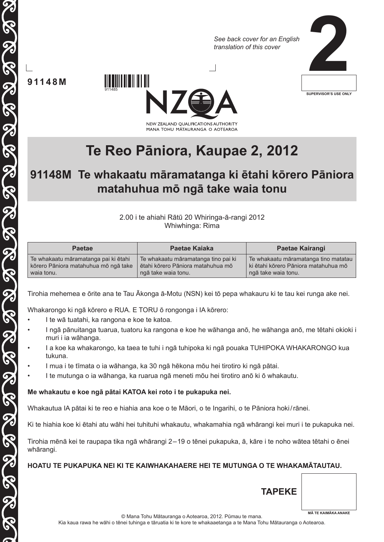*See back cover for an English translation of this cover*



**91148M**

**80 00** 

THE GRAND SERIE SERIE SERIE SERIE





## **Te Reo Pāniora, Kaupae 2, 2012**

## **91148M Te whakaatu māramatanga ki ētahi kōrero Pāniora matahuhua mō ngā take waia tonu**

2.00 i te ahiahi Rātū 20 Whiringa-ā-rangi 2012 Whiwhinga: Rima

| <b>Paetae</b>                        | Paetae Kajaka                       | Paetae Kairangi                      |
|--------------------------------------|-------------------------------------|--------------------------------------|
| Te whakaatu māramatanga pai ki ētahi | Te whakaatu māramatanga tino pai ki | Te whakaatu māramatanga tino matatau |
| kōrero Pāniora matahuhua mō ngā take | ētahi kōrero Pāniora matahuhua mō   | ki ētahi kōrero Pāniora matahuhua mō |
| waia tonu.                           | ngā take waia tonu.                 | ngā take waia tonu.                  |

Tirohia mehemea e ōrite ana te Tau Ākonga ā-Motu (NSN) kei tō pepa whakauru ki te tau kei runga ake nei.

Whakarongo ki ngā kōrero e RUA. E TORU ō rongonga i IA kōrero:

• I te wā tuatahi, ka rangona e koe te katoa.

911485

- I ngā pānuitanga tuarua, tuatoru ka rangona e koe he wāhanga anō, he wāhanga anō, me tētahi okioki i muri i ia wāhanga.
- I a koe ka whakarongo, ka taea te tuhi i ngā tuhipoka ki ngā pouaka TUHIPOKA WHAKARONGO kua tukuna.
- I mua i te tīmata o ia wāhanga, ka 30 ngā hēkona mōu hei tirotiro ki ngā pātai.
- I te mutunga o ia wāhanga, ka ruarua ngā meneti mōu hei tirotiro anō ki ō whakautu.

#### **Me whakautu e koe ngā pātai KATOA kei roto i te pukapuka nei.**

Whakautua IA pātai ki te reo e hiahia ana koe o te Māori, o te Ingarihi, o te Pāniora hoki/rānei.

Ki te hiahia koe ki ētahi atu wāhi hei tuhituhi whakautu, whakamahia ngā whārangi kei muri i te pukapuka nei.

Tirohia mēnā kei te raupapa tika ngā whārangi 2 – 19 o tēnei pukapuka, ā, kāre i te noho wātea tētahi o ēnei whārangi.

#### **HOATU TE PUKAPUKA NEI KI TE KAIWHAKAHAERE HEI TE MUTUNGA O TE WHAKAMĀTAUTAU.**

**TAPEKE**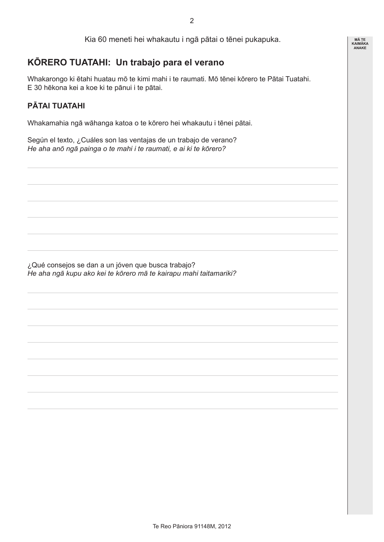Kia 60 meneti hei whakautu i ngā pātai o tēnei pukapuka.

## **KŌRERO TUATAHI: Un trabajo para el verano**

Whakarongo ki ētahi huatau mō te kimi mahi i te raumati. Mō tēnei kōrero te Pātai Tuatahi. E 30 hēkona kei a koe ki te pānui i te pātai.

#### **PĀTAI TUATAHI**

Whakamahia ngā wāhanga katoa o te kōrero hei whakautu i tēnei pātai.

Según el texto, ¿Cuáles son las ventajas de un trabajo de verano? *He aha anō ngā painga o te mahi i te raumati, e ai ki te kōrero?*

¿Qué consejos se dan a un jóven que busca trabajo? *He aha ngā kupu ako kei te kōrero mā te kairapu mahi taitamariki?*

 $\overline{2}$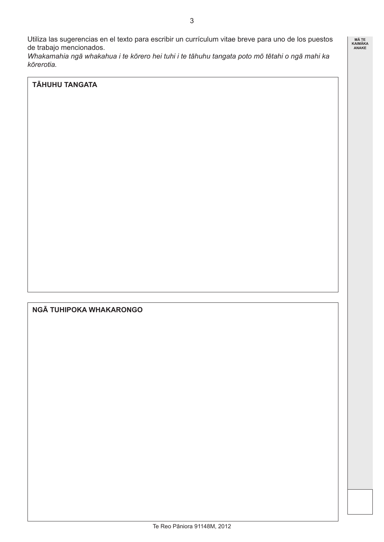**MĀ TE KAIMĀKA ANAKE**

Utiliza las sugerencias en el texto para escribir un currículum vitae breve para uno de los puestos de trabajo mencionados.

*Whakamahia ngā whakahua i te kōrero hei tuhi i te tāhuhu tangata poto mō tētahi o ngā mahi ka kōrerotia.*

#### **TĀHUHU TANGATA**

#### **NGĀ TUHIPOKA WHAKARONGO**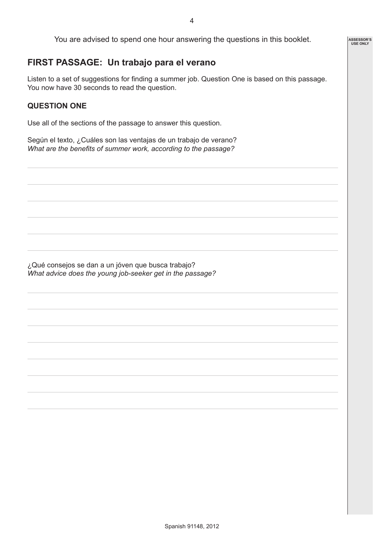You are advised to spend one hour answering the questions in this booklet.

## **FIRST PASSAGE: Un trabajo para el verano**

Listen to a set of suggestions for finding a summer job. Question One is based on this passage. You now have 30 seconds to read the question.

#### **QUESTION ONE**

Use all of the sections of the passage to answer this question.

Según el texto, ¿Cuáles son las ventajas de un trabajo de verano? *What are the benefits of summer work, according to the passage?*

¿Qué consejos se dan a un jóven que busca trabajo? *What advice does the young job-seeker get in the passage?* **ASSESSOR'S USE ONLY**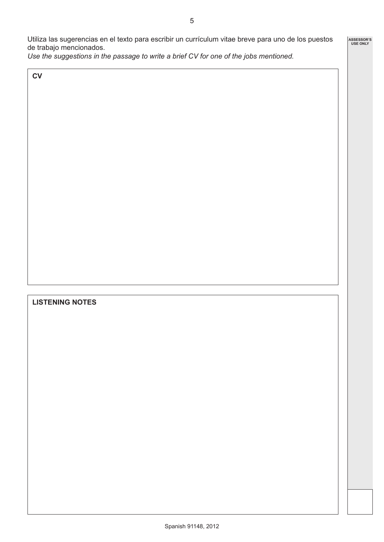**ASSESSOR'S USE ONLY**

Utiliza las sugerencias en el texto para escribir un currículum vitae breve para uno de los puestos de trabajo mencionados.

*Use the suggestions in the passage to write a brief CV for one of the jobs mentioned.*

**CV**

### **LISTENING NOTES**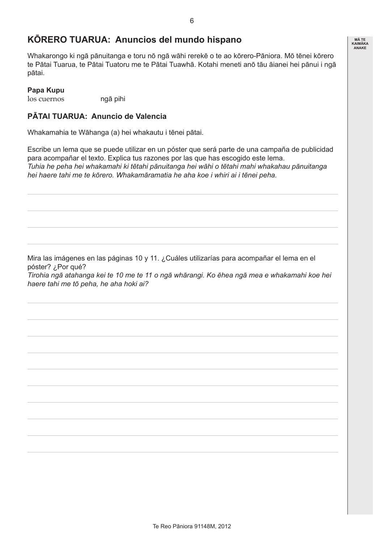## **KŌRERO TUARUA: Anuncios del mundo hispano**

Whakarongo ki ngā pānuitanga e toru nō ngā wāhi rerekē o te ao kōrero-Pāniora. Mō tēnei kōrero te Pātai Tuarua, te Pātai Tuatoru me te Pātai Tuawhā. Kotahi meneti anō tāu āianei hei pānui i ngā pātai.

#### **Papa Kupu**

los cuernos ngā pihi

#### **PĀTAI TUARUA: Anuncio de Valencia**

Whakamahia te Wāhanga (a) hei whakautu i tēnei pātai.

Escribe un lema que se puede utilizar en un póster que será parte de una campaña de publicidad para acompañar el texto. Explica tus razones por las que has escogido este lema. *Tuhia he peha hei whakamahi ki tētahi pānuitanga hei wāhi o tētahi mahi whakahau pānuitanga hei haere tahi me te kōrero. Whakamāramatia he aha koe i whiri ai i tēnei peha.* 

Mira las imágenes en las páginas 10 y 11. ¿Cuáles utilizarías para acompañar el lema en el póster? ¿Por qué?

*Tirohia ngā atahanga kei te 10 me te 11 o ngā whārangi. Ko ēhea ngā mea e whakamahi koe hei haere tahi me tō peha, he aha hoki ai?*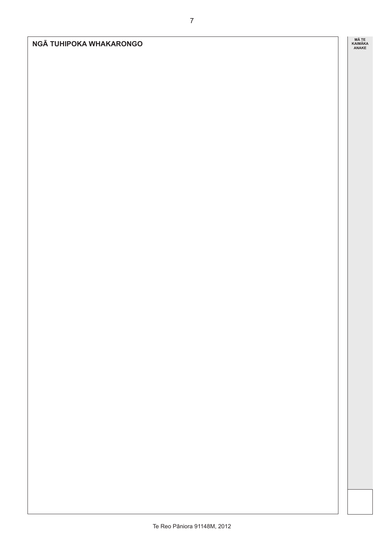**ANAKE NGĀ TUHIPOKA WHAKARONGO**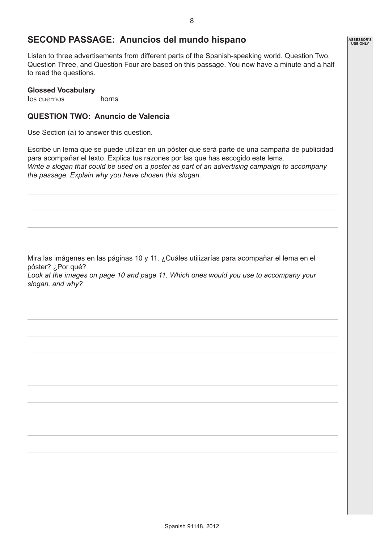### **SECOND PASSAGE: Anuncios del mundo hispano**

Listen to three advertisements from different parts of the Spanish-speaking world. Question Two, Question Three, and Question Four are based on this passage. You now have a minute and a half to read the questions.

#### **Glossed Vocabulary**

los cuernos horns

#### **QUESTION TWO: Anuncio de Valencia**

Use Section (a) to answer this question.

Escribe un lema que se puede utilizar en un póster que será parte de una campaña de publicidad para acompañar el texto. Explica tus razones por las que has escogido este lema. *Write a slogan that could be used on a poster as part of an advertising campaign to accompany the passage. Explain why you have chosen this slogan.* 

Mira las imágenes en las páginas 10 y 11. ¿Cuáles utilizarías para acompañar el lema en el póster? ¿Por qué?

*Look at the images on page 10 and page 11. Which ones would you use to accompany your slogan, and why?*

**ASSESSOR'S USE ONLY**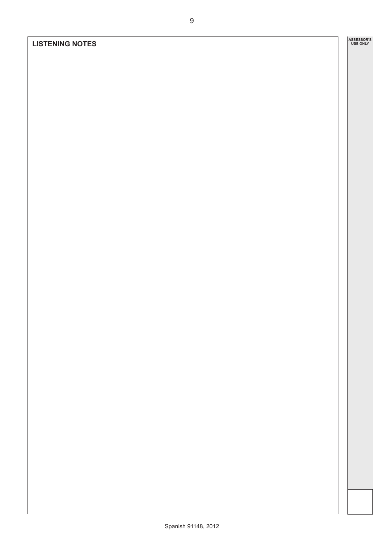#### **LISTENING NOTES**

**ASSESSOR'S USE ONLY**

9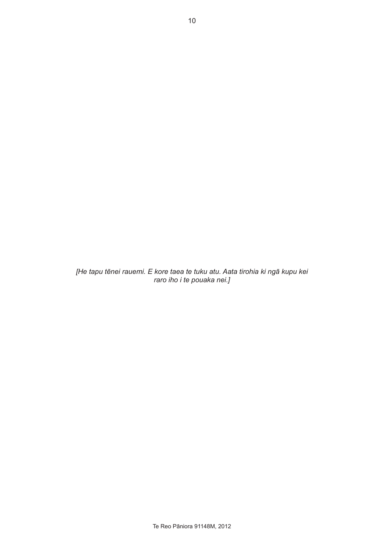*[He tapu tēnei rauemi. E kore taea te tuku atu. Aata tirohia ki ngā kupu kei raro iho i te pouaka nei.]*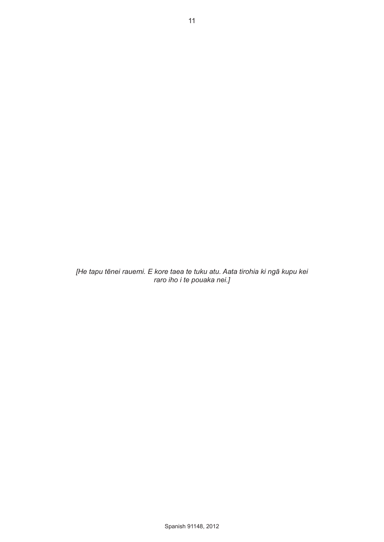*[He tapu tēnei rauemi. E kore taea te tuku atu. Aata tirohia ki ngā kupu kei raro iho i te pouaka nei.]*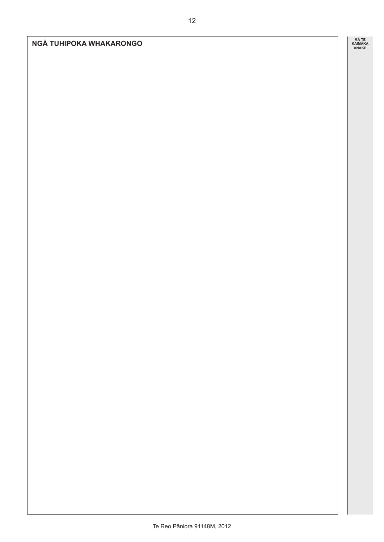**ANAKE NGĀ TUHIPOKA WHAKARONGO**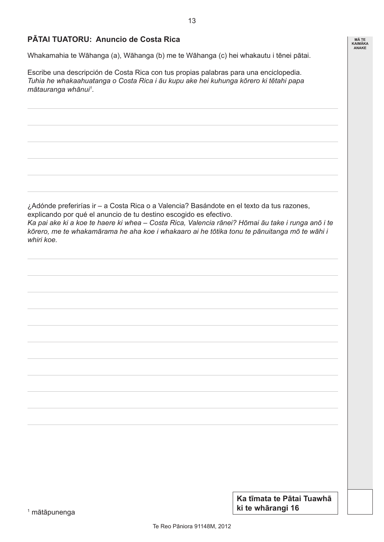#### **PĀTAI TUATORU: Anuncio de Costa Rica**

Whakamahia te Wāhanga (a), Wāhanga (b) me te Wāhanga (c) hei whakautu i tēnei pātai.

Escribe una descripción de Costa Rica con tus propias palabras para una enciclopedia. *Tuhia he whakaahuatanga o Costa Rica i āu kupu ake hei kuhunga kōrero ki tētahi papa mātauranga whānui1 .*

¿Adónde preferirías ir – a Costa Rica o a Valencia? Basándote en el texto da tus razones, explicando por qué el anuncio de tu destino escogido es efectivo. *Ka pai ake ki a koe te haere ki whea – Costa Rica, Valencia rānei? Hōmai āu take i runga anō i te kōrero, me te whakamārama he aha koe i whakaaro ai he tōtika tonu te pānuitanga mō te wāhi i whiri koe.*

**Ka tīmata te Pātai Tuawhā**  <sup>1</sup> **ki te whārangi 16** mātāpunenga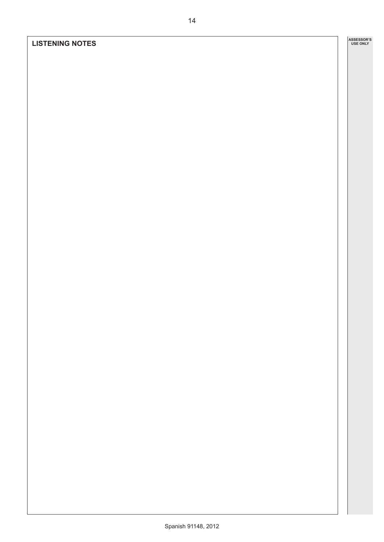#### **LISTENING NOTES**

14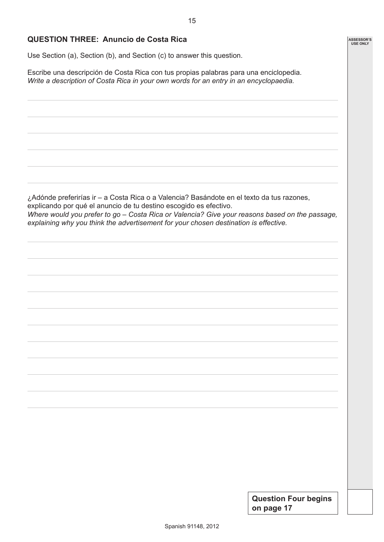#### **QUESTION THREE: Anuncio de Costa Rica**

Use Section (a), Section (b), and Section (c) to answer this question.

Escribe una descripción de Costa Rica con tus propias palabras para una enciclopedia. *Write a description of Costa Rica in your own words for an entry in an encyclopaedia.*

¿Adónde preferirías ir – a Costa Rica o a Valencia? Basándote en el texto da tus razones, explicando por qué el anuncio de tu destino escogido es efectivo. *Where would you prefer to go – Costa Rica or Valencia? Give your reasons based on the passage, explaining why you think the advertisement for your chosen destination is effective.*

> **Question Four begins on page 17**

**ASSESSOR'S USE ONLY**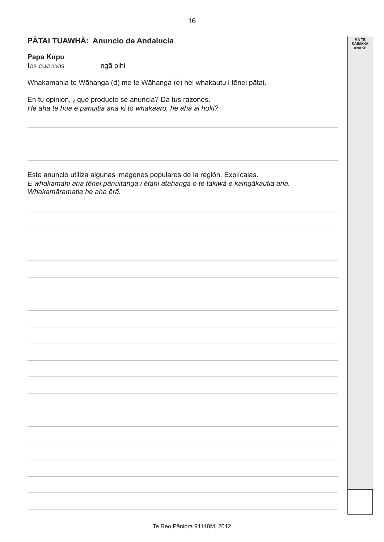**MĀ TE KAIMĀKA ANAKE**

## **PĀTAI TUAWHĀ: Anuncio de Andalucía**

#### **Papa Kupu**

los cuernos ngā pihi

Whakamahia te Wāhanga (d) me te Wāhanga (e) hei whakautu i tēnei pātai.

En tu opinión, ¿qué producto se anuncia? Da tus razones. *He aha te hua e pānuitia ana ki tō whakaaro, he aha ai hoki?*

Este anuncio utiliza algunas imágenes populares de la región. Explícalas. *E whakamahi ana tēnei pānuitanga i ētahi atahanga o te takiwā e kaingākautia ana. Whakamāramatia he aha ērā.*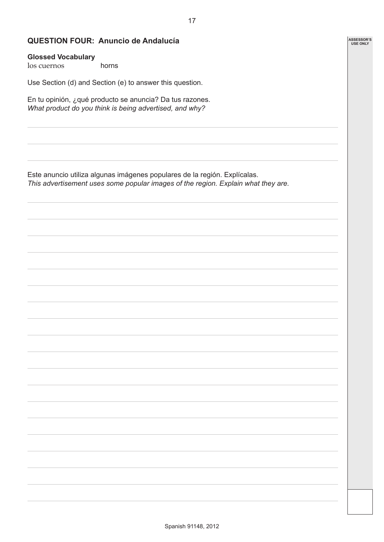**ASSESSOR'S USE ONLY**

#### **QUESTION FOUR: Anuncio de Andalucía**

#### **Glossed Vocabulary**

los cuernos horns

Use Section (d) and Section (e) to answer this question.

En tu opinión, ¿qué producto se anuncia? Da tus razones. *What product do you think is being advertised, and why?*

Este anuncio utiliza algunas imágenes populares de la región. Explícalas. *This advertisement uses some popular images of the region. Explain what they are.*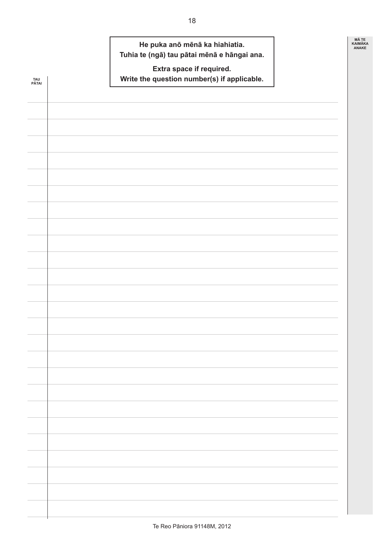### **He puka anō mēnā ka hiahiatia. Tuhia te (ngā) tau pātai mēnā e hāngai ana.**

**MĀ TE KAIMĀKA ANAKE**

# **Extra space if required.**

| TAU<br>PĀTAI | Write the question number(s) if applicable. |  |
|--------------|---------------------------------------------|--|
|              |                                             |  |
|              |                                             |  |
|              |                                             |  |
|              |                                             |  |
|              |                                             |  |
|              |                                             |  |
|              |                                             |  |
|              |                                             |  |
|              |                                             |  |
|              |                                             |  |
|              |                                             |  |
|              |                                             |  |
|              |                                             |  |
|              |                                             |  |
|              |                                             |  |
|              |                                             |  |
|              |                                             |  |
|              |                                             |  |
|              |                                             |  |
|              |                                             |  |
|              |                                             |  |
|              |                                             |  |
|              |                                             |  |
|              |                                             |  |
|              |                                             |  |
|              |                                             |  |
|              |                                             |  |
|              |                                             |  |
|              |                                             |  |
|              |                                             |  |
|              |                                             |  |
|              |                                             |  |
|              |                                             |  |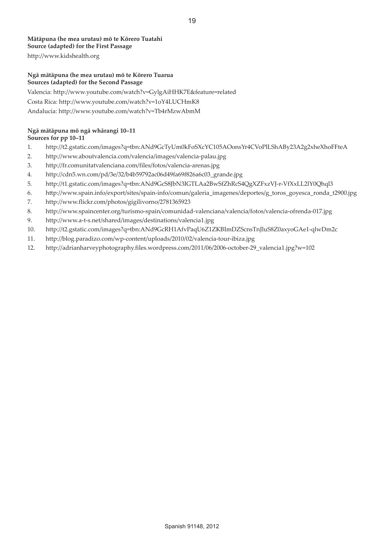#### **Mātāpuna (he mea urutau) mō te Kōrero Tuatahi Source (adapted) for the First Passage**

http://www.kidshealth.org

#### **Ngā mātāpuna (he mea urutau) mō te Kōrero Tuarua Sources (adapted) for the Second Passage**

Valencia: http://www.youtube.com/watch?v=GylgAiHHK7E&feature=related Costa Rica: http://www.youtube.com/watch?v=1oY4LUCHmK8 Andalucía: http://www.youtube.com/watch?v=Tb4rMzwAbmM

#### **Ngā mātāpuna mō ngā whārangi 10–11 Sources for pp 10–11**

- 1. http://t2.gstatic.com/images?q=tbn:ANd9GcTyUm0kFoSXcYC105AOonsYr4CVoPlLShABy23A2g2xheXhoFFteA
- 2. http://www.aboutvalencia.com/valencia/images/valencia-palau.jpg
- 3. http://fr.comunitatvalenciana.com/files/fotos/valencia-arenas.jpg
- 4. http://cdn5.wn.com/pd/3e/32/b4b59792ac06d49fa69f826a6c03\_grande.jpg
- 5. http://t1.gstatic.com/images?q=tbn:ANd9GcS8JbN3IGTLAa2BwSfZhRcS4QgXZFxzVJ-r-VfXxLL2lY0Qhql3
- 6. http://www.spain.info/export/sites/spain-info/comun/galeria\_imagenes/deportes/g\_toros\_goyesca\_ronda\_t2900.jpg
- 7. http://www.flickr.com/photos/gigilivorno/2781365923
- 8. http://www.spaincenter.org/turismo-spain/comunidad-valenciana/valencia/fotos/valencia-ofrenda-017.jpg
- 9. http://www.a-t-s.net/shared/images/destinations/valencia1.jpg
- 10. http://t2.gstatic.com/images?q=tbn:ANd9GcRH1AfvPaqU6Z1ZKBImDZScnsTnJluS8Z0axyoGAe1-qlwDm2c
- 11. http://blog.paradizo.com/wp-content/uploads/2010/02/valencia-tour-ibiza.jpg
- 12. http://adrianharveyphotography.files.wordpress.com/2011/06/2006-october-29\_valencia1.jpg?w=102